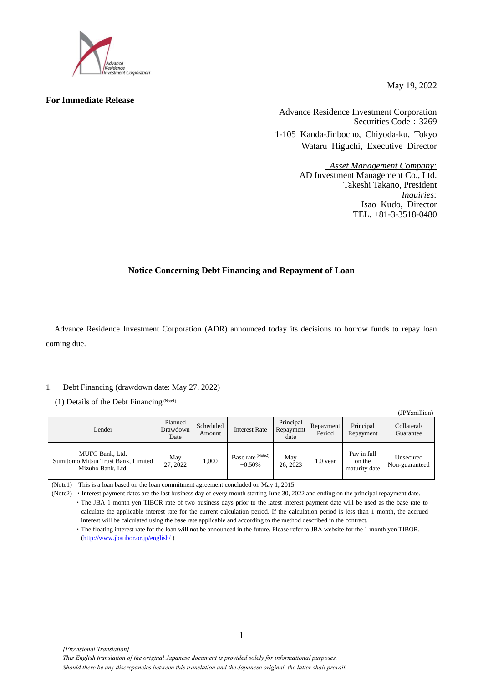

## **For Immediate Release**

May 19, 2022

Advance Residence Investment Corporation Securities Code: 3269 1-105 Kanda-Jinbocho, Chiyoda-ku, Tokyo Wataru Higuchi, Executive Director

> *Asset Management Company:* AD Investment Management Co., Ltd. Takeshi Takano, President *Inquiries:* Isao Kudo, Director TEL. +81-3-3518-0480

# **Notice Concerning Debt Financing and Repayment of Loan**

Advance Residence Investment Corporation (ADR) announced today its decisions to borrow funds to repay loan coming due.

### 1. Debt Financing (drawdown date: May 27, 2022)

(1) Details of the Debt Financing (Note1)

|                                                                             |                             |                     |                               |                                |                     |                                        | (JPY:million)               |
|-----------------------------------------------------------------------------|-----------------------------|---------------------|-------------------------------|--------------------------------|---------------------|----------------------------------------|-----------------------------|
| Lender                                                                      | Planned<br>Drawdown<br>Date | Scheduled<br>Amount | <b>Interest Rate</b>          | Principal<br>Repayment<br>date | Repayment<br>Period | Principal<br>Repayment                 | Collateral/<br>Guarantee    |
| MUFG Bank, Ltd.<br>Sumitomo Mitsui Trust Bank, Limited<br>Mizuho Bank, Ltd. | May<br>27, 2022             | ,000                | Base rate (Note2)<br>$+0.50%$ | May<br>26, 2023                | 1.0 year            | Pay in full<br>on the<br>maturity date | Unsecured<br>Non-guaranteed |

(Note1) This is a loan based on the loan commitment agreement concluded on May 1, 2015.

(Note2) ・Interest payment dates are the last business day of every month starting June 30, 2022 and ending on the principal repayment date.

・The JBA 1 month yen TIBOR rate of two business days prior to the latest interest payment date will be used as the base rate to calculate the applicable interest rate for the current calculation period. If the calculation period is less than 1 month, the accrued interest will be calculated using the base rate applicable and according to the method described in the contract.

・The floating interest rate for the loan will not be announced in the future. Please refer to JBA website for the 1 month yen TIBOR. [\(http://www.jbatibor.or.jp/english/](http://www.jbatibor.or.jp/english/) )